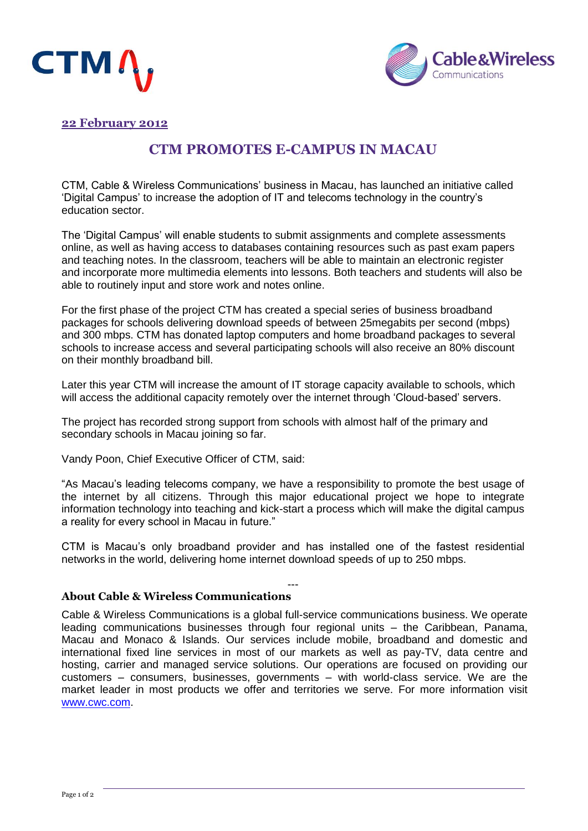



## **22 February 2012**

## **CTM PROMOTES E-CAMPUS IN MACAU**

CTM, Cable & Wireless Communications' business in Macau, has launched an initiative called 'Digital Campus' to increase the adoption of IT and telecoms technology in the country's education sector.

The 'Digital Campus' will enable students to submit assignments and complete assessments online, as well as having access to databases containing resources such as past exam papers and teaching notes. In the classroom, teachers will be able to maintain an electronic register and incorporate more multimedia elements into lessons. Both teachers and students will also be able to routinely input and store work and notes online.

For the first phase of the project CTM has created a special series of business broadband packages for schools delivering download speeds of between 25megabits per second (mbps) and 300 mbps. CTM has donated laptop computers and home broadband packages to several schools to increase access and several participating schools will also receive an 80% discount on their monthly broadband bill.

Later this year CTM will increase the amount of IT storage capacity available to schools, which will access the additional capacity remotely over the internet through 'Cloud-based' servers.

The project has recorded strong support from schools with almost half of the primary and secondary schools in Macau joining so far.

Vandy Poon, Chief Executive Officer of CTM, said:

"As Macau's leading telecoms company, we have a responsibility to promote the best usage of the internet by all citizens. Through this major educational project we hope to integrate information technology into teaching and kick-start a process which will make the digital campus a reality for every school in Macau in future."

CTM is Macau's only broadband provider and has installed one of the fastest residential networks in the world, delivering home internet download speeds of up to 250 mbps.

---

## **About Cable & Wireless Communications**

Cable & Wireless Communications is a global full-service communications business. We operate leading communications businesses through four regional units – the Caribbean, Panama, Macau and Monaco & Islands. Our services include mobile, broadband and domestic and international fixed line services in most of our markets as well as pay-TV, data centre and hosting, carrier and managed service solutions. Our operations are focused on providing our customers – consumers, businesses, governments – with world-class service. We are the market leader in most products we offer and territories we serve. For more information visit [www.cwc.com.](http://www.cwc.com/)